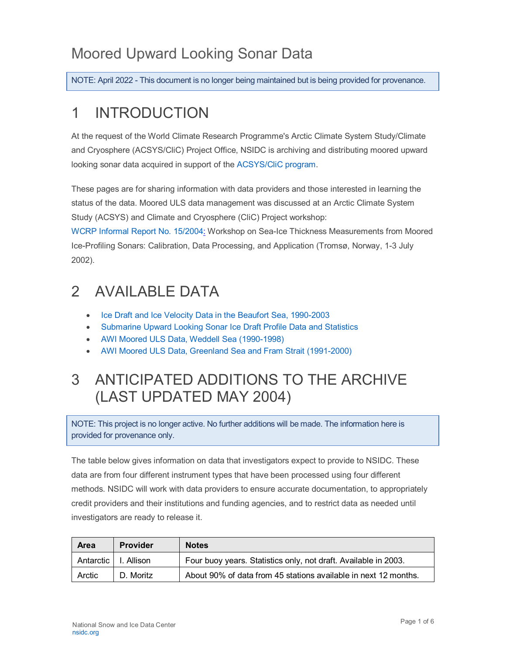## Moored Upward Looking Sonar Data

NOTE: April 2022 - This document is no longer being maintained but is being provided for provenance.

# 1 INTRODUCTION

At the request of the World Climate Research Programme's Arctic Climate System Study/Climate and Cryosphere (ACSYS/CliC) Project Office, NSIDC is archiving and distributing moored upward looking sonar data acquired in support of the [ACSYS/CliC program.](http://www.climate-cryosphere.org/)

These pages are for sharing information with data providers and those interested in learning the status of the data. Moored ULS data management was discussed at an Arctic Climate System Study (ACSYS) and Climate and Cryosphere (CliC) Project workshop:

[WCRP Informal Report No. 15/2004:](https://nsidc.org/sites/nsidc.org/files/technical-references/IPS_tromso.pdf) Workshop on Sea-Ice Thickness Measurements from Moored Ice-Profiling Sonars: Calibration, Data Processing, and Application (Tromsø, Norway, 1-3 July 2002).

## 2 AVAILABLE DATA

- [Ice Draft and Ice Velocity Data in the Beaufort Sea, 1990-2003](https://nsidc.org/data/g02177)
- [Submarine Upward Looking Sonar Ice Draft Profile Data and Statistics](https://nsidc.org/data/g01360)
- [AWI Moored ULS Data, Weddell Sea \(1990-1998\)](https://nsidc.org/data/g01359)
- [AWI Moored ULS Data, Greenland Sea and](https://nsidc.org/data/g02139) Fram Strait (1991-2000)

## 3 ANTICIPATED ADDITIONS TO THE ARCHIVE (LAST UPDATED MAY 2004)

NOTE: This project is no longer active. No further additions will be made. The information here is provided for provenance only.

The table below gives information on data that investigators expect to provide to NSIDC. These data are from four different instrument types that have been processed using four different methods. NSIDC will work with data providers to ensure accurate documentation, to appropriately credit providers and their institutions and funding agencies, and to restrict data as needed until investigators are ready to release it.

| Area        | <b>Provider</b> | <b>Notes</b>                                                    |  |
|-------------|-----------------|-----------------------------------------------------------------|--|
| Antarctic I | l. Allison      | Four buoy years. Statistics only, not draft. Available in 2003. |  |
| Arctic      | D. Moritz       | About 90% of data from 45 stations available in next 12 months. |  |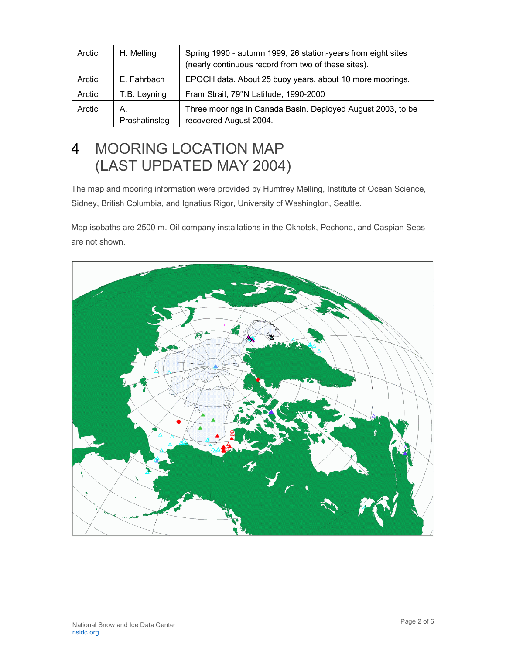| Arctic | H. Melling          | Spring 1990 - autumn 1999, 26 station-years from eight sites<br>(nearly continuous record from two of these sites). |  |  |
|--------|---------------------|---------------------------------------------------------------------------------------------------------------------|--|--|
| Arctic | E. Fahrbach         | EPOCH data. About 25 buoy years, about 10 more moorings.                                                            |  |  |
| Arctic | T.B. Løyning        | Fram Strait, 79°N Latitude, 1990-2000                                                                               |  |  |
| Arctic | А.<br>Proshatinslag | Three moorings in Canada Basin. Deployed August 2003, to be<br>recovered August 2004.                               |  |  |

## 4 MOORING LOCATION MAP (LAST UPDATED MAY 2004)

The map and mooring information were provided by Humfrey Melling, Institute of Ocean Science, Sidney, British Columbia, and Ignatius Rigor, University of Washington, Seattle.

Map isobaths are 2500 m. Oil company installations in the Okhotsk, Pechona, and Caspian Seas are not shown.

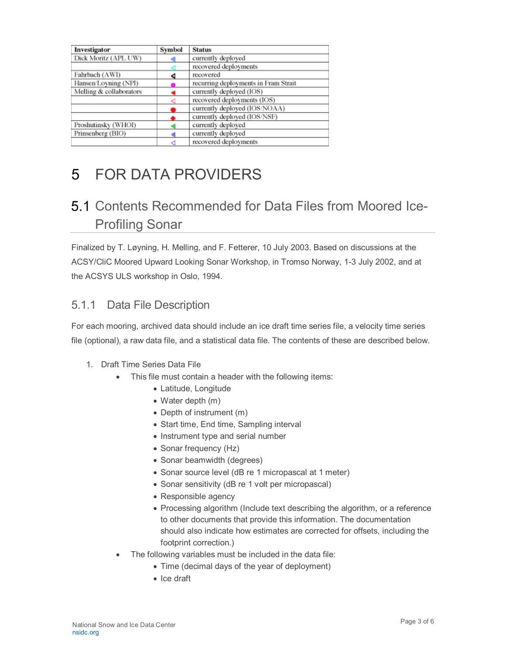| Investigator            | Symbol | <b>Status</b>                        |
|-------------------------|--------|--------------------------------------|
| Dick Moritz (APL UW)    |        | currently deployed                   |
|                         |        | recovered deployments                |
| Fahrbach (AWI)          | đ      | recovered                            |
| Hansen/Loyning (NPI)    |        | recurring deployments in Fram Strait |
| Melling & collaborators |        | currently deployed (IOS)             |
|                         |        | recovered deployments (IOS)          |
|                         |        | currently deployed (IOS/NOAA)        |
|                         |        | currently deployed (IOS/NSF)         |
| Proshutinsky (WHOI)     |        | currently deployed                   |
| Prinsenberg (BIO)       |        | currently deployed                   |
|                         |        | recovered deployments                |

# 5 FOR DATA PROVIDERS

### 5.1 Contents Recommended for Data Files from Moored Ice-Profiling Sonar

Finalized by T. Løyning, H. Melling, and F. Fetterer, 10 July 2003. Based on discussions at the ACSY/CliC Moored Upward Looking Sonar Workshop, in Tromso Norway, 1-3 July 2002, and at the ACSYS ULS workshop in Oslo, 1994.

### 5.1.1 Data File Description

For each mooring, archived data should include an ice draft time series file, a velocity time series file (optional), a raw data file, and a statistical data file. The contents of these are described below.

- 1. Draft Time Series Data File
	- This file must contain a header with the following items:
		- Latitude, Longitude
		- Water depth (m)
		- Depth of instrument (m)
		- Start time, End time, Sampling interval
		- Instrument type and serial number
		- Sonar frequency (Hz)
		- Sonar beamwidth (degrees)
		- Sonar source level (dB re 1 micropascal at 1 meter)
		- Sonar sensitivity (dB re 1 volt per micropascal)
		- Responsible agency
		- Processing algorithm (Include text describing the algorithm, or a reference to other documents that provide this information. The documentation should also indicate how estimates are corrected for offsets, including the footprint correction.)
	- The following variables must be included in the data file:
		- Time (decimal days of the year of deployment)
		- Ice draft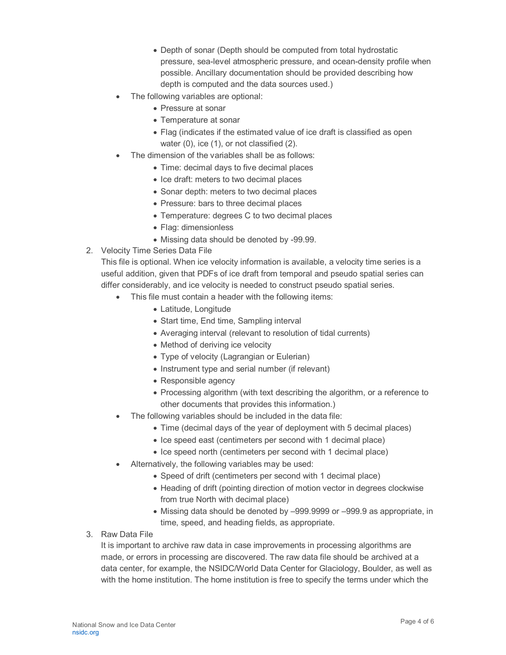- Depth of sonar (Depth should be computed from total hydrostatic pressure, sea-level atmospheric pressure, and ocean-density profile when possible. Ancillary documentation should be provided describing how depth is computed and the data sources used.)
- The following variables are optional:
	- Pressure at sonar
	- Temperature at sonar
	- Flag (indicates if the estimated value of ice draft is classified as open water (0), ice (1), or not classified (2).
- The dimension of the variables shall be as follows:
	- Time: decimal days to five decimal places
	- Ice draft: meters to two decimal places
	- Sonar depth: meters to two decimal places
	- Pressure: bars to three decimal places
	- Temperature: degrees C to two decimal places
	- Flag: dimensionless
	- Missing data should be denoted by -99.99.
- 2. Velocity Time Series Data File

This file is optional. When ice velocity information is available, a velocity time series is a useful addition, given that PDFs of ice draft from temporal and pseudo spatial series can differ considerably, and ice velocity is needed to construct pseudo spatial series.

- This file must contain a header with the following items:
	- Latitude, Longitude
	- Start time, End time, Sampling interval
	- Averaging interval (relevant to resolution of tidal currents)
	- Method of deriving ice velocity
	- Type of velocity (Lagrangian or Eulerian)
	- Instrument type and serial number (if relevant)
	- Responsible agency
	- Processing algorithm (with text describing the algorithm, or a reference to other documents that provides this information.)
- The following variables should be included in the data file:
	- Time (decimal days of the year of deployment with 5 decimal places)
	- Ice speed east (centimeters per second with 1 decimal place)
	- Ice speed north (centimeters per second with 1 decimal place)
- Alternatively, the following variables may be used:
	- Speed of drift (centimeters per second with 1 decimal place)
	- Heading of drift (pointing direction of motion vector in degrees clockwise from true North with decimal place)
	- Missing data should be denoted by –999.9999 or –999.9 as appropriate, in time, speed, and heading fields, as appropriate.
- 3. Raw Data File

It is important to archive raw data in case improvements in processing algorithms are made, or errors in processing are discovered. The raw data file should be archived at a data center, for example, the NSIDC/World Data Center for Glaciology, Boulder, as well as with the home institution. The home institution is free to specify the terms under which the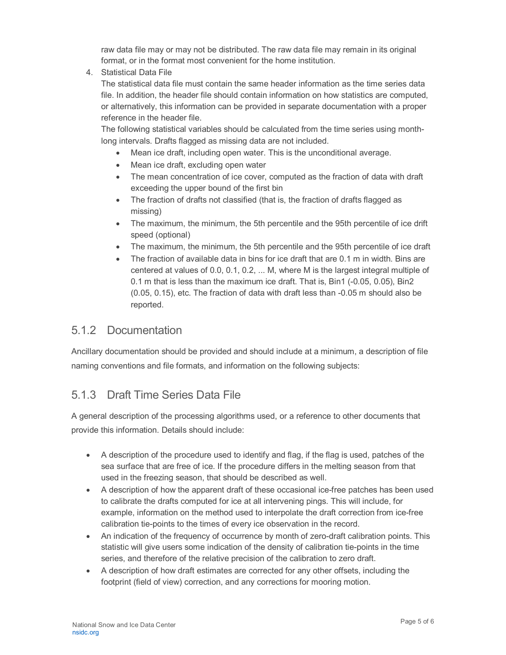raw data file may or may not be distributed. The raw data file may remain in its original format, or in the format most convenient for the home institution.

4. Statistical Data File

The statistical data file must contain the same header information as the time series data file. In addition, the header file should contain information on how statistics are computed, or alternatively, this information can be provided in separate documentation with a proper reference in the header file.

The following statistical variables should be calculated from the time series using monthlong intervals. Drafts flagged as missing data are not included.

- Mean ice draft, including open water. This is the unconditional average.
- Mean ice draft, excluding open water
- The mean concentration of ice cover, computed as the fraction of data with draft exceeding the upper bound of the first bin
- The fraction of drafts not classified (that is, the fraction of drafts flagged as missing)
- The maximum, the minimum, the 5th percentile and the 95th percentile of ice drift speed (optional)
- The maximum, the minimum, the 5th percentile and the 95th percentile of ice draft
- The fraction of available data in bins for ice draft that are 0.1 m in width. Bins are centered at values of 0.0, 0.1, 0.2, ... M, where M is the largest integral multiple of 0.1 m that is less than the maximum ice draft. That is, Bin1 (-0.05, 0.05), Bin2 (0.05, 0.15), etc. The fraction of data with draft less than -0.05 m should also be reported.

#### 5.1.2 Documentation

Ancillary documentation should be provided and should include at a minimum, a description of file naming conventions and file formats, and information on the following subjects:

### 5.1.3 Draft Time Series Data File

A general description of the processing algorithms used, or a reference to other documents that provide this information. Details should include:

- A description of the procedure used to identify and flag, if the flag is used, patches of the sea surface that are free of ice. If the procedure differs in the melting season from that used in the freezing season, that should be described as well.
- A description of how the apparent draft of these occasional ice-free patches has been used to calibrate the drafts computed for ice at all intervening pings. This will include, for example, information on the method used to interpolate the draft correction from ice-free calibration tie-points to the times of every ice observation in the record.
- An indication of the frequency of occurrence by month of zero-draft calibration points. This statistic will give users some indication of the density of calibration tie-points in the time series, and therefore of the relative precision of the calibration to zero draft.
- A description of how draft estimates are corrected for any other offsets, including the footprint (field of view) correction, and any corrections for mooring motion.